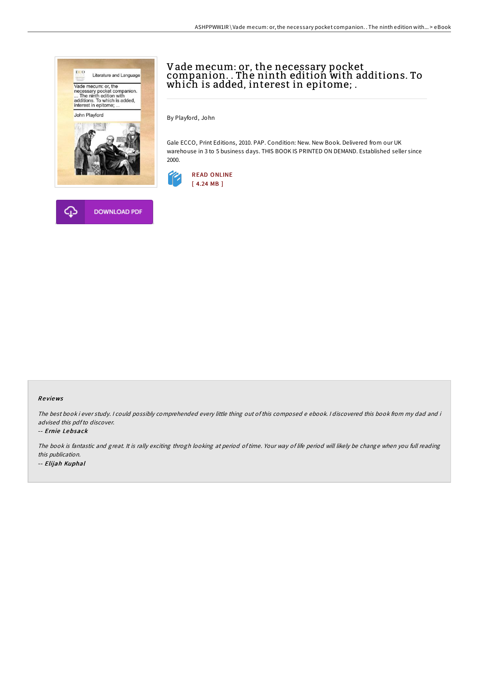



# Vade mecum: or, the necessary pocket companion. . The ninth edition with additions. To which is added, interest in epitome; .

By Playford, John

Gale ECCO, Print Editions, 2010. PAP. Condition: New. New Book. Delivered from our UK warehouse in 3 to 5 business days. THIS BOOK IS PRINTED ON DEMAND. Established seller since 2000.



### Re views

The best book i ever study. <sup>I</sup> could possibly comprehended every little thing out of this composed <sup>e</sup> ebook. <sup>I</sup> discovered this book from my dad and i advised this pdfto discover.

#### -- Ernie Lebsack

The book is fantastic and great. It is rally exciting throgh looking at period of time. Your way of life period will likely be change when you full reading this publication. -- Elijah Kuphal